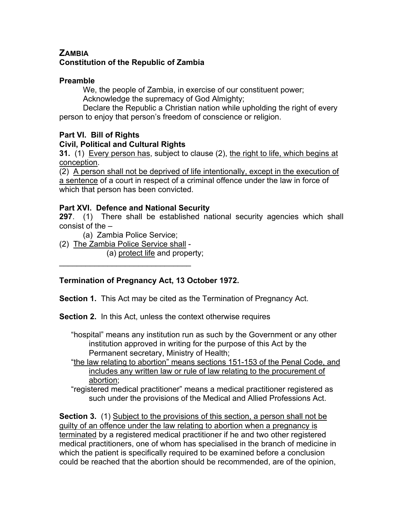# **ZAMBIA Constitution of the Republic of Zambia**

#### **Preamble**

We, the people of Zambia, in exercise of our constituent power; Acknowledge the supremacy of God Almighty;

Declare the Republic a Christian nation while upholding the right of every person to enjoy that person's freedom of conscience or religion.

## **Part VI. Bill of Rights**

## **Civil, Political and Cultural Rights**

**31.** (1) Every person has, subject to clause (2), the right to life, which begins at conception.

(2) A person shall not be deprived of life intentionally, except in the execution of a sentence of a court in respect of a criminal offence under the law in force of which that person has been convicted.

## **Part XVI. Defence and National Security**

**297**. (1) There shall be established national security agencies which shall consist of the –

(a) Zambia Police Service;

(2) The Zambia Police Service shall -

 $\mathcal{L}_\text{max}$  , where  $\mathcal{L}_\text{max}$  and  $\mathcal{L}_\text{max}$ 

(a) protect life and property;

# **Termination of Pregnancy Act, 13 October 1972.**

**Section 1.** This Act may be cited as the Termination of Pregnancy Act.

**Section 2.** In this Act, unless the context otherwise requires

"hospital" means any institution run as such by the Government or any other institution approved in writing for the purpose of this Act by the Permanent secretary, Ministry of Health;

- "the law relating to abortion" means sections 151-153 of the Penal Code, and includes any written law or rule of law relating to the procurement of abortion;
- "registered medical practitioner" means a medical practitioner registered as such under the provisions of the Medical and Allied Professions Act.

**Section 3.** (1) Subject to the provisions of this section, a person shall not be guilty of an offence under the law relating to abortion when a pregnancy is terminated by a registered medical practitioner if he and two other registered medical practitioners, one of whom has specialised in the branch of medicine in which the patient is specifically required to be examined before a conclusion could be reached that the abortion should be recommended, are of the opinion,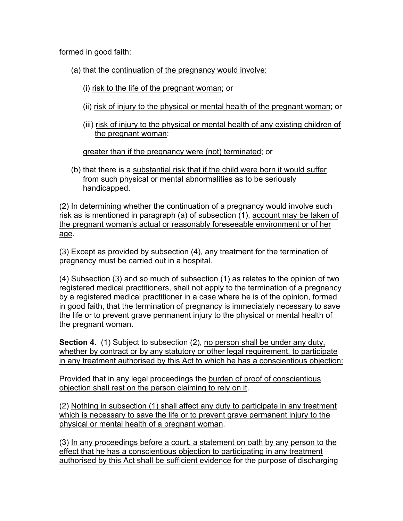formed in good faith:

(a) that the continuation of the pregnancy would involve:

- (i) risk to the life of the pregnant woman; or
- (ii) risk of injury to the physical or mental health of the pregnant woman; or
- (iii) risk of injury to the physical or mental health of any existing children of the pregnant woman;

greater than if the pregnancy were (not) terminated; or

(b) that there is a substantial risk that if the child were born it would suffer from such physical or mental abnormalities as to be seriously handicapped.

(2) In determining whether the continuation of a pregnancy would involve such risk as is mentioned in paragraph (a) of subsection (1), account may be taken of the pregnant woman's actual or reasonably foreseeable environment or of her age.

(3) Except as provided by subsection (4), any treatment for the termination of pregnancy must be carried out in a hospital.

(4) Subsection (3) and so much of subsection (1) as relates to the opinion of two registered medical practitioners, shall not apply to the termination of a pregnancy by a registered medical practitioner in a case where he is of the opinion, formed in good faith, that the termination of pregnancy is immediately necessary to save the life or to prevent grave permanent injury to the physical or mental health of the pregnant woman.

**Section 4.** (1) Subject to subsection (2), no person shall be under any duty, whether by contract or by any statutory or other legal requirement, to participate in any treatment authorised by this Act to which he has a conscientious objection:

Provided that in any legal proceedings the burden of proof of conscientious objection shall rest on the person claiming to rely on it.

(2) Nothing in subsection (1) shall affect any duty to participate in any treatment which is necessary to save the life or to prevent grave permanent injury to the physical or mental health of a pregnant woman.

(3) In any proceedings before a court, a statement on oath by any person to the effect that he has a conscientious objection to participating in any treatment authorised by this Act shall be sufficient evidence for the purpose of discharging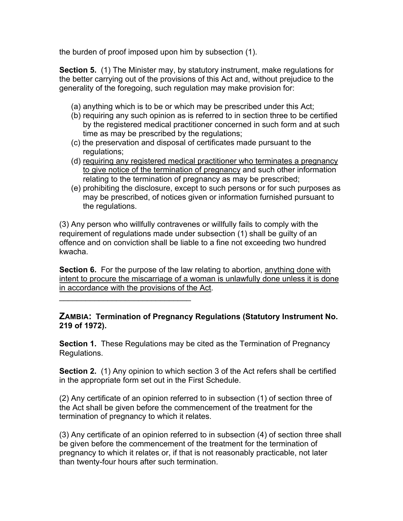the burden of proof imposed upon him by subsection (1).

**Section 5.** (1) The Minister may, by statutory instrument, make regulations for the better carrying out of the provisions of this Act and, without prejudice to the generality of the foregoing, such regulation may make provision for:

- (a) anything which is to be or which may be prescribed under this Act;
- (b) requiring any such opinion as is referred to in section three to be certified by the registered medical practitioner concerned in such form and at such time as may be prescribed by the regulations;
- (c) the preservation and disposal of certificates made pursuant to the regulations;
- (d) requiring any registered medical practitioner who terminates a pregnancy to give notice of the termination of pregnancy and such other information relating to the termination of pregnancy as may be prescribed;
- (e) prohibiting the disclosure, except to such persons or for such purposes as may be prescribed, of notices given or information furnished pursuant to the regulations.

(3) Any person who willfully contravenes or willfully fails to comply with the requirement of regulations made under subsection (1) shall be guilty of an offence and on conviction shall be liable to a fine not exceeding two hundred kwacha.

**Section 6.** For the purpose of the law relating to abortion, anything done with intent to procure the miscarriage of a woman is unlawfully done unless it is done in accordance with the provisions of the Act.

 $\mathcal{L}_\text{max}$  , where  $\mathcal{L}_\text{max}$  and  $\mathcal{L}_\text{max}$ 

#### **ZAMBIA: Termination of Pregnancy Regulations (Statutory Instrument No. 219 of 1972).**

**Section 1.** These Regulations may be cited as the Termination of Pregnancy Regulations.

**Section 2.** (1) Any opinion to which section 3 of the Act refers shall be certified in the appropriate form set out in the First Schedule.

(2) Any certificate of an opinion referred to in subsection (1) of section three of the Act shall be given before the commencement of the treatment for the termination of pregnancy to which it relates.

(3) Any certificate of an opinion referred to in subsection (4) of section three shall be given before the commencement of the treatment for the termination of pregnancy to which it relates or, if that is not reasonably practicable, not later than twenty-four hours after such termination.